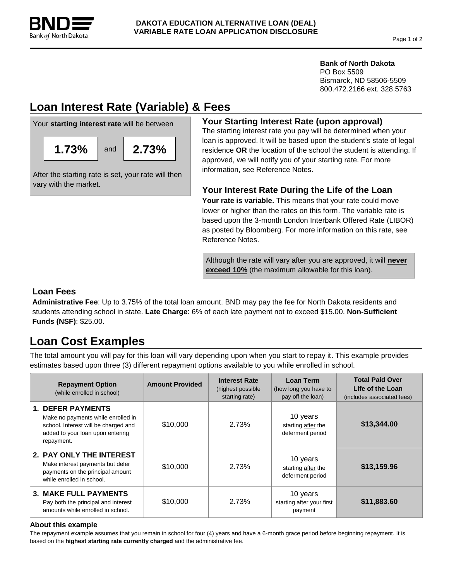

### **Bank of North Dakota**

PO Box 5509 Bismarck, ND 58506-5509 800.472.2166 ext. 328.5763

# **Loan Interest Rate (Variable) & Fees**



## **Your Starting Interest Rate (upon approval)**

The starting interest rate you pay will be determined when your loan is approved. It will be based upon the student's state of legal residence **OR** the location of the school the student is attending. If approved, we will notify you of your starting rate. For more information, see Reference Notes.

## **Your Interest Rate During the Life of the Loan**

**Your rate is variable.** This means that your rate could move lower or higher than the rates on this form. The variable rate is based upon the 3-month London Interbank Offered Rate (LIBOR) as posted by Bloomberg. For more information on this rate, see Reference Notes.

Although the rate will vary after you are approved, it will **never exceed 10%** (the maximum allowable for this loan).

## **Loan Fees**

vary with the market.

**Administrative Fee**: Up to 3.75% of the total loan amount. BND may pay the fee for North Dakota residents and students attending school in state. **Late Charge**: 6% of each late payment not to exceed \$15.00. **Non-Sufficient Funds (NSF)**: \$25.00.

# **Loan Cost Examples**

The total amount you will pay for this loan will vary depending upon when you start to repay it. This example provides estimates based upon three (3) different repayment options available to you while enrolled in school.

| <b>Repayment Option</b><br>(while enrolled in school)                                                                                                    | <b>Amount Provided</b> | <b>Interest Rate</b><br>(highest possible)<br>starting rate) | Loan Term<br>(how long you have to<br>pay off the loan) | <b>Total Paid Over</b><br>Life of the Loan<br>(includes associated fees) |
|----------------------------------------------------------------------------------------------------------------------------------------------------------|------------------------|--------------------------------------------------------------|---------------------------------------------------------|--------------------------------------------------------------------------|
| <b>1. DEFER PAYMENTS</b><br>Make no payments while enrolled in<br>school. Interest will be charged and<br>added to your loan upon entering<br>repayment. | \$10,000               | 2.73%                                                        | 10 years<br>starting after the<br>deferment period      | \$13,344.00                                                              |
| 2. PAY ONLY THE INTEREST<br>Make interest payments but defer<br>payments on the principal amount<br>while enrolled in school.                            | \$10,000               | 2.73%                                                        | 10 years<br>starting after the<br>deferment period      | \$13,159.96                                                              |
| <b>3. MAKE FULL PAYMENTS</b><br>Pay both the principal and interest<br>amounts while enrolled in school.                                                 | \$10,000               | 2.73%                                                        | 10 years<br>starting after your first<br>payment        | \$11,883.60                                                              |

### **About this example**

The repayment example assumes that you remain in school for four (4) years and have a 6-month grace period before beginning repayment. It is based on the **highest starting rate currently charged** and the administrative fee.